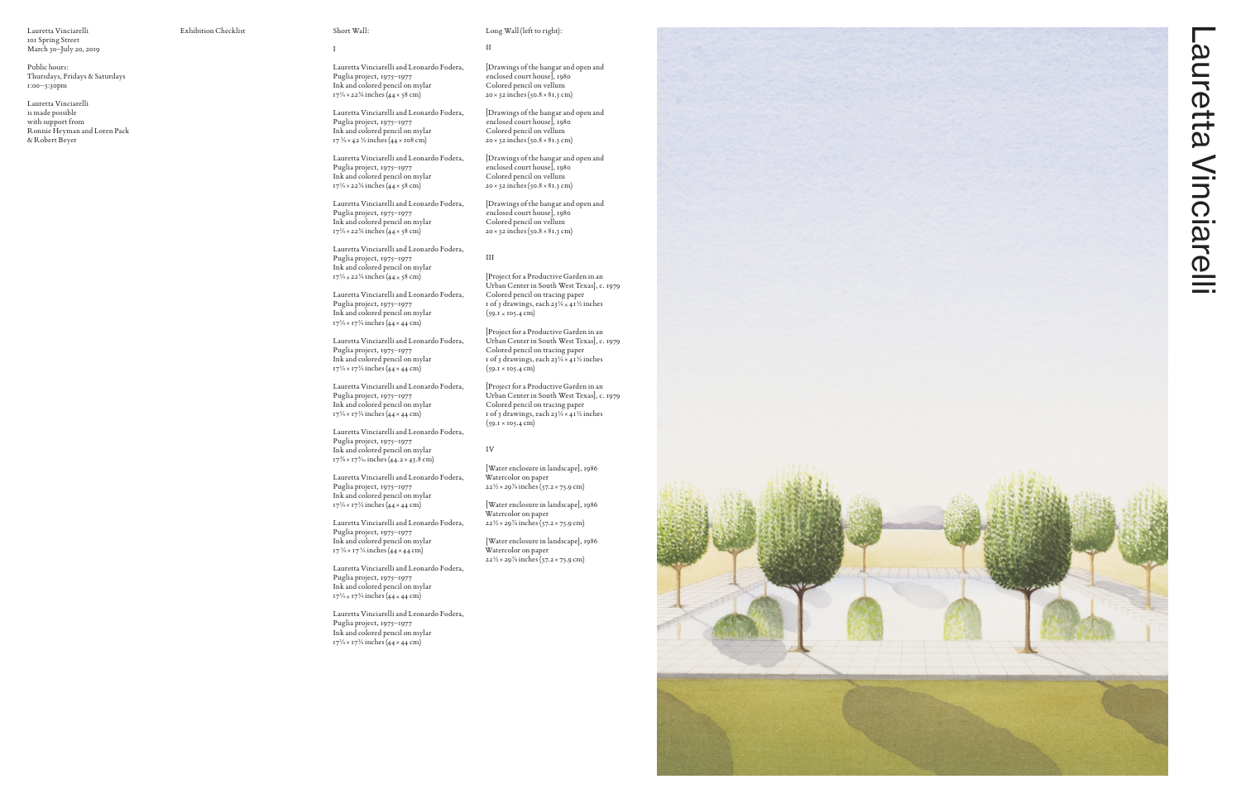

Lauretta Vinciarelli 101 Spring Street March 30–July 20, 2019

Public hours:

Thursdays, Fridays & Saturdays 1:00–5:30pm

Lauretta Vinciarelli and Leonardo Fodera, Puglia project, 1975–1977 Ink and colored pencil on mylar 17<sup>1/4</sup> × 22<sup>3/4</sup> inches (44 × 58 cm)

Lauretta Vinciarelli is made possible with support from Ronnie Heyman and Loren Pack & Robert Beyer

Lauretta Vinciarelli and Leonardo Fodera, Puglia project, 1975–1977 Ink and colored pencil on mylar 17  $\frac{1}{4} \times 42 \frac{1}{2}$  inches (44 × 108 cm)

Exhibition Checklist Short Wall:

Lauretta Vinciarelli and Leonardo Fodera, Puglia project, 1975–1977 Ink and colored pencil on mylar 17<sup>1/4</sup> × 22<sup>3/4</sup> inches (44 × 58 cm)

I

Lauretta Vinciarelli and Leonardo Fodera, Puglia project, 1975–1977 Ink and colored pencil on mylar 17<sup>1/4</sup> × 22<sup>3/4</sup> inches (44 × 58 cm)

Lauretta Vinciarelli and Leonardo Fodera, Puglia project, 1975–1977 Ink and colored pencil on mylar 17<sup>1/4</sup> × 22<sup>3/4</sup> inches (44 × 58 cm)

Lauretta Vinciarelli and Leonardo Fodera, Puglia project, 1975–1977 Ink and colored pencil on mylar 17<sup>1/4</sup> × 17<sup>1/4</sup> inches (44 × 44 cm)

Lauretta Vinciarelli and Leonardo Fodera, Puglia project, 1975–1977 Ink and colored pencil on mylar 17<sup>1/4</sup> × 17<sup>1/4</sup> inches (44 × 44 cm)

Lauretta Vinciarelli and Leonardo Fodera, Puglia project, 1975–1977 Ink and colored pencil on mylar 17<sup>1/4</sup> × 17<sup>1/4</sup> inches (44 × 44 cm)

Lauretta Vinciarelli and Leonardo Fodera, Puglia project, 1975–1977 Ink and colored pencil on mylar 17<sup>3</sup>/<sub>8</sub> × 17<sup>3</sup>/<sub>16</sub> inches (44.2 × 43.8 cm)

Lauretta Vinciarelli and Leonardo Fodera, Puglia project, 1975–1977 Ink and colored pencil on mylar 17<sup>1/4</sup> × 17<sup>1/4</sup> inches (44 × 44 cm)

Lauretta Vinciarelli and Leonardo Fodera, Puglia project, 1975–1977 Ink and colored pencil on mylar 17  $\frac{1}{4} \times$  17  $\frac{1}{4}$  inches (44  $\times$  44 cm)

Lauretta Vinciarelli and Leonardo Fodera, Puglia project, 1975–1977 Ink and colored pencil on mylar 17<sup>1/4</sup> × 17<sup>1/4</sup> inches (44 × 44 cm)

Lauretta Vinciarelli and Leonardo Fodera, Puglia project, 1975–1977 Ink and colored pencil on mylar 17<sup>1/4</sup> × 17<sup>1/4</sup> inches (44 × 44 cm)

II<br>[Drawings of the hangar and open and enclosed court house ], 1980 Colored pencil on vellum 20 ×32 inches (50.8 ×81.3 cm)

IV<br>[Water enclosure in landscape], 1986 Watercolor on paper 22 1/2 ×297/8 inches (57.2 ×75.9 cm)

## Long Wall (left to right):

[Drawings of the hangar and open and enclosed court house ], 1980 Colored pencil on vellum 20 ×32 inches (50.8 ×81.3 cm)

[Drawings of the hangar and open and enclosed court house ], 1980 Colored pencil on vellum 20 ×32 inches (50.8 ×81.3 cm)

[Drawings of the hangar and open and enclosed court house ], 1980 Colored pencil on vellum 20 ×32 inches (50.8 ×81.3 cm)

III

[Project for a Productive Garden in an Urban Center in South West Texas ], c. 1979 Colored pencil on tracing paper 1 of 3 drawings, each 23 1/4 ×411/2 inches (59.1 ×105.4 cm)

[Project for a Productive Garden in an Urban Center in South West Texas ], c. 1979 Colored pencil on tracing paper 1 of 3 drawings, each 23 1/4 ×411/2 inches (59.1 ×105.4 cm)

[Project for a Productive Garden in an Urban Center in South West Texas ], c. 1979 Colored pencil on tracing paper 1 of 3 drawings, each 23 1/4 ×411/2 inches (59.1 ×105.4 cm)

[Water enclosure in landscape ], 1986 Watercolor on paper 22 1/2 ×297/8 inches (57.2 ×75.9 cm)

[Water enclosure in landscape ], 1986 Watercolor on paper 22 1/2 ×297/8 inches (57.2 ×75.9 cm)